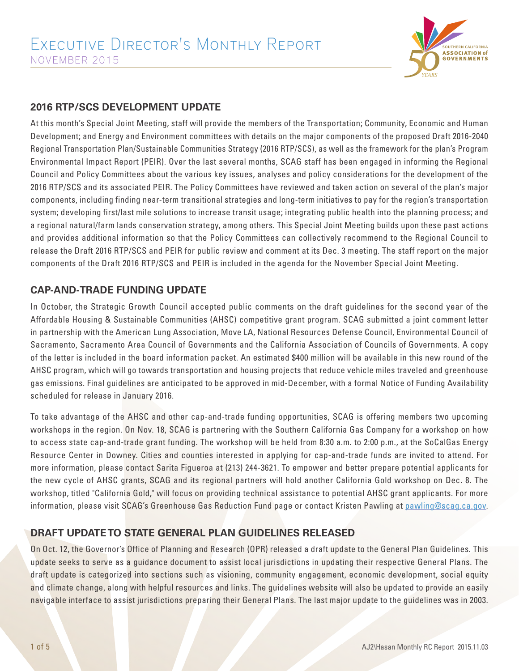

#### **2016 RTP/SCS DEVELOPMENT UPDATE**

At this month's Special Joint Meeting, staff will provide the members of the Transportation; Community, Economic and Human Development; and Energy and Environment committees with details on the major components of the proposed Draft 2016-2040 Regional Transportation Plan/Sustainable Communities Strategy (2016 RTP/SCS), as well as the framework for the plan's Program Environmental Impact Report (PEIR). Over the last several months, SCAG staff has been engaged in informing the Regional Council and Policy Committees about the various key issues, analyses and policy considerations for the development of the 2016 RTP/SCS and its associated PEIR. The Policy Committees have reviewed and taken action on several of the plan's major components, including finding near-term transitional strategies and long-term initiatives to pay for the region's transportation system; developing first/last mile solutions to increase transit usage; integrating public health into the planning process; and a regional natural/farm lands conservation strategy, among others. This Special Joint Meeting builds upon these past actions and provides additional information so that the Policy Committees can collectively recommend to the Regional Council to release the Draft 2016 RTP/SCS and PEIR for public review and comment at its Dec. 3 meeting. The staff report on the major components of the Draft 2016 RTP/SCS and PEIR is included in the agenda for the November Special Joint Meeting.

#### **CAP-AND-TRADE FUNDING UPDATE**

In October, the Strategic Growth Council accepted public comments on the draft guidelines for the second year of the Affordable Housing & Sustainable Communities (AHSC) competitive grant program. SCAG submitted a joint comment letter in partnership with the American Lung Association, Move LA, National Resources Defense Council, Environmental Council of Sacramento, Sacramento Area Council of Governments and the California Association of Councils of Governments. A copy of the letter is included in the board information packet. An estimated \$400 million will be available in this new round of the AHSC program, which will go towards transportation and housing projects that reduce vehicle miles traveled and greenhouse gas emissions. Final guidelines are anticipated to be approved in mid-December, with a formal Notice of Funding Availability scheduled for release in January 2016.

To take advantage of the AHSC and other cap-and-trade funding opportunities, SCAG is offering members two upcoming workshops in the region. On Nov. 18, SCAG is partnering with the Southern California Gas Company for a workshop on how to access state cap-and-trade grant funding. The workshop will be held from 8:30 a.m. to 2:00 p.m., at the SoCalGas Energy Resource Center in Downey. Cities and counties interested in applying for cap-and-trade funds are invited to attend. For more information, please contact Sarita Figueroa at (213) 244-3621. To empower and better prepare potential applicants for the new cycle of AHSC grants, SCAG and its regional partners will hold another California Gold workshop on Dec. 8. The workshop, titled "California Gold," will focus on providing technical assistance to potential AHSC grant applicants. For more information, please visit SCAG's Greenhouse Gas Reduction Fund page or contact Kristen Pawling at pawling@scag.ca.gov.

#### **DRAFT UPDATE TO STATE GENERAL PLAN GUIDELINES RELEASED**

On Oct. 12, the Governor's Office of Planning and Research (OPR) released a draft update to the General Plan Guidelines. This update seeks to serve as a guidance document to assist local jurisdictions in updating their respective General Plans. The draft update is categorized into sections such as visioning, community engagement, economic development, social equity and climate change, along with helpful resources and links. The guidelines website will also be updated to provide an easily navigable interface to assist jurisdictions preparing their General Plans. The last major update to the guidelines was in 2003.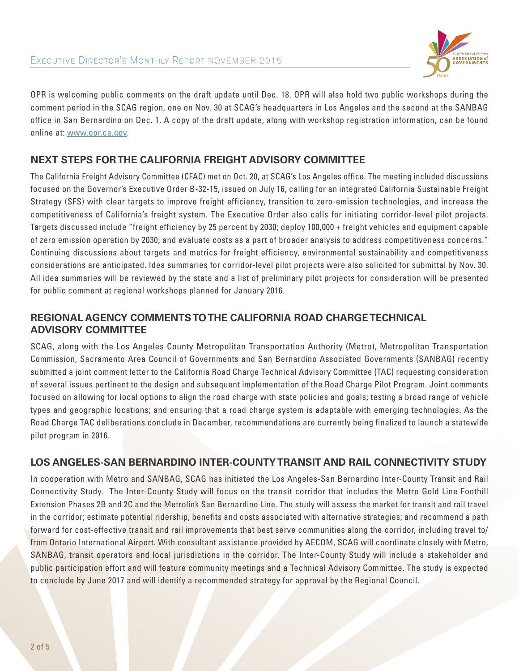

OPR is welcoming public comments on the draft update until Dec. 18. OPR will also hold two public workshops during the comment period in the SCAG region, one on Nov. 30 at SCAG's headquarters in Los Angeles and the second at the SANBAG office in San Bernardino on Dec. 1. A copy of the draft update, along with workshop registration information, can be found online at: www.opr.ca.gov.

# **NEXT STEPS FOR THE CALIFORNIA FREIGHT ADVISORY COMMITTEE**

The California Freight Advisory Committee (CFAC) met on Oct. 20, at SCAG's Los Angeles office. The meeting included discussions focused on the Governor's Executive Order B-32-15, issued on July 16, calling for an integrated California Sustainable Freight Strategy (SFS) with clear targets to improve freight efficiency, transition to zero-emission technologies, and increase the competitiveness of California's freight system. The Executive Order also calls for initiating corridor-level pilot projects. Targets discussed include "freight efficiency by 25 percent by 2030; deploy 100,000 + freight vehicles and equipment capable of zero emission operation by 2030; and evaluate costs as a part of broader analysis to address competitiveness concerns." Continuing discussions about targets and metrics for freight efficiency, environmental sustainability and competitiveness considerations are anticipated. Idea summaries for corridor-level pilot projects were also solicited for submittal by Nov. 30. All idea summaries will be reviewed by the state and a list of preliminary pilot projects for consideration will be presented for public comment at regional workshops planned for January 2016.

### **REGIONAL AGENCY COMMENTS TO THE CALIFORNIA ROAD CHARGE TECHNICAL ADVISORY COMMITTEE**

SCAG, along with the Los Angeles County Metropolitan Transportation Authority (Metro), Metropolitan Transportation Commission, Sacramento Area Council of Governments and San Bernardino Associated Governments (SANBAG) recently submitted a joint comment letter to the California Road Charge Technical Advisory Committee (TAC) requesting consideration of several issues pertinent to the design and subsequent implementation of the Road Charge Pilot Program. Joint comments focused on allowing for local options to align the road charge with state policies and goals; testing a broad range of vehicle types and geographic locations; and ensuring that a road charge system is adaptable with emerging technologies. As the Road Charge TAC deliberations conclude in December, recommendations are currently being finalized to launch a statewide pilot program in 2016.

#### **LOS ANGELES-SAN BERNARDINO INTER-COUNTY TRANSIT AND RAIL CONNECTIVITY STUDY**

In cooperation with Metro and SANBAG, SCAG has initiated the Los Angeles-San Bernardino Inter-County Transit and Rail Connectivity Study. The Inter-County Study will focus on the transit corridor that includes the Metro Gold Line Foothill Extension Phases 2B and 2C and the Metrolink San Bernardino Line. The study will assess the market for transit and rail travel in the corridor; estimate potential ridership, benefits and costs associated with alternative strategies; and recommend a path forward for cost-effective transit and rail improvements that best serve communities along the corridor, including travel to/ from Ontario International Airport. With consultant assistance provided by AECOM, SCAG will coordinate closely with Metro, SANBAG, transit operators and local jurisdictions in the corridor. The Inter-County Study will include a stakeholder and public participation effort and will feature community meetings and a Technical Advisory Committee. The study is expected to conclude by June 2017 and will identify a recommended strategy for approval by the Regional Council.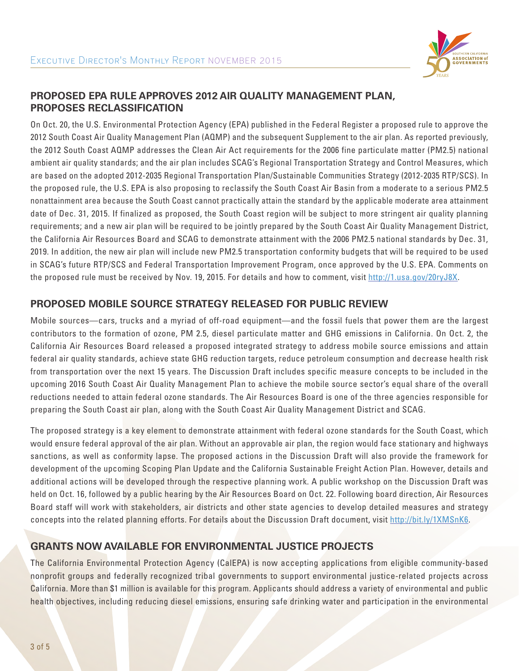

## **PROPOSED EPA RULE APPROVES 2012 AIR QUALITY MANAGEMENT PLAN, PROPOSES RECLASSIFICATION**

On Oct. 20, the U.S. Environmental Protection Agency (EPA) published in the Federal Register a proposed rule to approve the 2012 South Coast Air Quality Management Plan (AQMP) and the subsequent Supplement to the air plan. As reported previously, the 2012 South Coast AQMP addresses the Clean Air Act requirements for the 2006 fine particulate matter (PM2.5) national ambient air quality standards; and the air plan includes SCAG's Regional Transportation Strategy and Control Measures, which are based on the adopted 2012-2035 Regional Transportation Plan/Sustainable Communities Strategy (2012-2035 RTP/SCS). In the proposed rule, the U.S. EPA is also proposing to reclassify the South Coast Air Basin from a moderate to a serious PM2.5 nonattainment area because the South Coast cannot practically attain the standard by the applicable moderate area attainment date of Dec. 31, 2015. If finalized as proposed, the South Coast region will be subject to more stringent air quality planning requirements; and a new air plan will be required to be jointly prepared by the South Coast Air Quality Management District, the California Air Resources Board and SCAG to demonstrate attainment with the 2006 PM2.5 national standards by Dec. 31, 2019. In addition, the new air plan will include new PM2.5 transportation conformity budgets that will be required to be used in SCAG's future RTP/SCS and Federal Transportation Improvement Program, once approved by the U.S. EPA. Comments on the proposed rule must be received by Nov. 19, 2015. For details and how to comment, visit http://1.usa.gov/20ryJ8X.

#### **PROPOSED MOBILE SOURCE STRATEGY RELEASED FOR PUBLIC REVIEW**

Mobile sources—cars, trucks and a myriad of off-road equipment—and the fossil fuels that power them are the largest contributors to the formation of ozone, PM 2.5, diesel particulate matter and GHG emissions in California. On Oct. 2, the California Air Resources Board released a proposed integrated strategy to address mobile source emissions and attain federal air quality standards, achieve state GHG reduction targets, reduce petroleum consumption and decrease health risk from transportation over the next 15 years. The Discussion Draft includes specific measure concepts to be included in the upcoming 2016 South Coast Air Quality Management Plan to achieve the mobile source sector's equal share of the overall reductions needed to attain federal ozone standards. The Air Resources Board is one of the three agencies responsible for preparing the South Coast air plan, along with the South Coast Air Quality Management District and SCAG.

The proposed strategy is a key element to demonstrate attainment with federal ozone standards for the South Coast, which would ensure federal approval of the air plan. Without an approvable air plan, the region would face stationary and highways sanctions, as well as conformity lapse. The proposed actions in the Discussion Draft will also provide the framework for development of the upcoming Scoping Plan Update and the California Sustainable Freight Action Plan. However, details and additional actions will be developed through the respective planning work. A public workshop on the Discussion Draft was held on Oct. 16, followed by a public hearing by the Air Resources Board on Oct. 22. Following board direction, Air Resources Board staff will work with stakeholders, air districts and other state agencies to develop detailed measures and strategy concepts into the related planning efforts. For details about the Discussion Draft document, visit http://bit.ly/1XMSnK6.

# **GRANTS NOW AVAILABLE FOR ENVIRONMENTAL JUSTICE PROJECTS**

The California Environmental Protection Agency (CalEPA) is now accepting applications from eligible community-based nonprofit groups and federally recognized tribal governments to support environmental justice-related projects across California. More than \$1 million is available for this program. Applicants should address a variety of environmental and public health objectives, including reducing diesel emissions, ensuring safe drinking water and participation in the environmental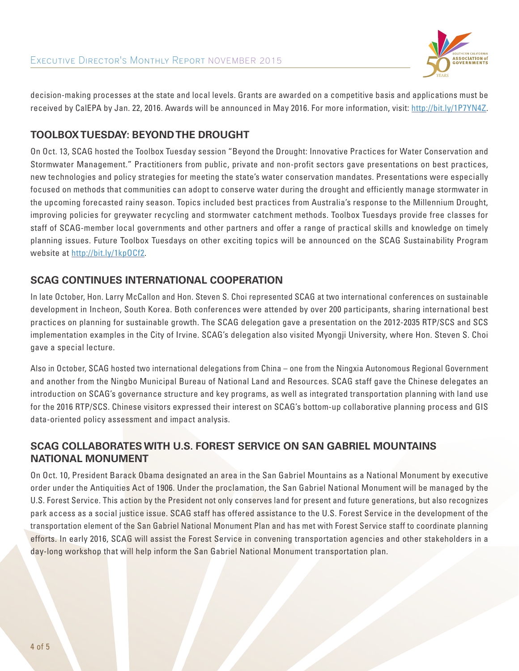

decision-making processes at the state and local levels. Grants are awarded on a competitive basis and applications must be received by CalEPA by Jan. 22, 2016. Awards will be announced in May 2016. For more information, visit: http://bit.ly/1P7YN4Z.

### **TOOLBOX TUESDAY: BEYOND THE DROUGHT**

On Oct. 13, SCAG hosted the Toolbox Tuesday session "Beyond the Drought: Innovative Practices for Water Conservation and Stormwater Management." Practitioners from public, private and non-profit sectors gave presentations on best practices, new technologies and policy strategies for meeting the state's water conservation mandates. Presentations were especially focused on methods that communities can adopt to conserve water during the drought and efficiently manage stormwater in the upcoming forecasted rainy season. Topics included best practices from Australia's response to the Millennium Drought, improving policies for greywater recycling and stormwater catchment methods. Toolbox Tuesdays provide free classes for staff of SCAG-member local governments and other partners and offer a range of practical skills and knowledge on timely planning issues. Future Toolbox Tuesdays on other exciting topics will be announced on the SCAG Sustainability Program website at http://bit.ly/1kpOCf2.

## **SCAG CONTINUES INTERNATIONAL COOPERATION**

In late October, Hon. Larry McCallon and Hon. Steven S. Choi represented SCAG at two international conferences on sustainable development in Incheon, South Korea. Both conferences were attended by over 200 participants, sharing international best practices on planning for sustainable growth. The SCAG delegation gave a presentation on the 2012-2035 RTP/SCS and SCS implementation examples in the City of Irvine. SCAG's delegation also visited Myongji University, where Hon. Steven S. Choi gave a special lecture.

Also in October, SCAG hosted two international delegations from China – one from the Ningxia Autonomous Regional Government and another from the Ningbo Municipal Bureau of National Land and Resources. SCAG staff gave the Chinese delegates an introduction on SCAG's governance structure and key programs, as well as integrated transportation planning with land use for the 2016 RTP/SCS. Chinese visitors expressed their interest on SCAG's bottom-up collaborative planning process and GIS data-oriented policy assessment and impact analysis.

# **SCAG COLLABORATES WITH U.S. FOREST SERVICE ON SAN GABRIEL MOUNTAINS NATIONAL MONUMENT**

On Oct. 10, President Barack Obama designated an area in the San Gabriel Mountains as a National Monument by executive order under the Antiquities Act of 1906. Under the proclamation, the San Gabriel National Monument will be managed by the U.S. Forest Service. This action by the President not only conserves land for present and future generations, but also recognizes park access as a social justice issue. SCAG staff has offered assistance to the U.S. Forest Service in the development of the transportation element of the San Gabriel National Monument Plan and has met with Forest Service staff to coordinate planning efforts. In early 2016, SCAG will assist the Forest Service in convening transportation agencies and other stakeholders in a day-long workshop that will help inform the San Gabriel National Monument transportation plan.